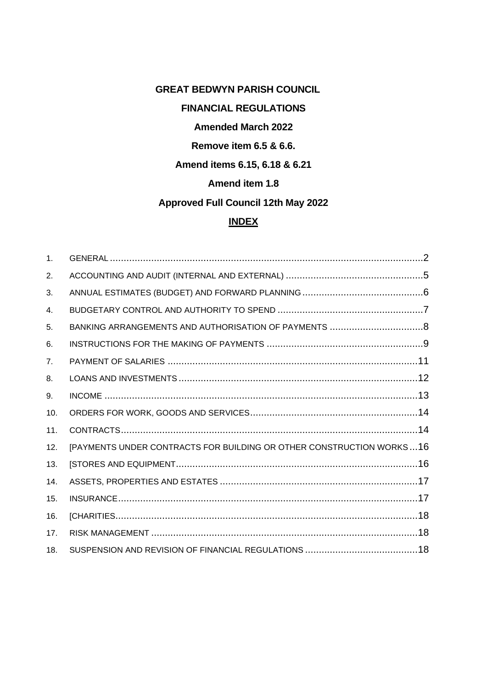#### **GREAT BEDWYN PARISH COUNCIL**

# **FINANCIAL REGULATIONS**

### **Amended March 2022**

# **Remove item 6.5 & 6.6.**

# **Amend items 6.15, 6.18 & 6.21**

#### **Amend item 1.8**

### **Approved Full Council 12th May 2022**

# **INDEX**

| 1.             |                                                                      |  |
|----------------|----------------------------------------------------------------------|--|
| 2.             |                                                                      |  |
| 3.             |                                                                      |  |
| 4.             |                                                                      |  |
| 5.             |                                                                      |  |
| 6.             |                                                                      |  |
| 7 <sub>1</sub> |                                                                      |  |
| 8.             |                                                                      |  |
| 9.             |                                                                      |  |
| 10.            |                                                                      |  |
| 11.            |                                                                      |  |
| 12.            | [PAYMENTS UNDER CONTRACTS FOR BUILDING OR OTHER CONSTRUCTION WORKS16 |  |
| 13.            |                                                                      |  |
| 14.            |                                                                      |  |
| 15.            |                                                                      |  |
| 16.            |                                                                      |  |
| 17.            |                                                                      |  |
| 18.            |                                                                      |  |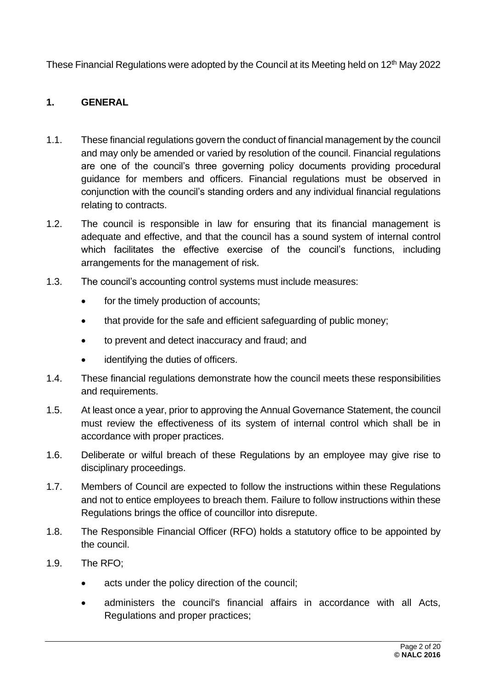These Financial Regulations were adopted by the Council at its Meeting held on 12<sup>th</sup> May 2022

### <span id="page-1-0"></span>**1. GENERAL**

- 1.1. These financial regulations govern the conduct of financial management by the council and may only be amended or varied by resolution of the council. Financial regulations are one of the council's three governing policy documents providing procedural guidance for members and officers. Financial regulations must be observed in conjunction with the council's standing orders and any individual financial regulations relating to contracts.
- 1.2. The council is responsible in law for ensuring that its financial management is adequate and effective, and that the council has a sound system of internal control which facilitates the effective exercise of the council's functions, including arrangements for the management of risk.
- 1.3. The council's accounting control systems must include measures:
	- for the timely production of accounts;
	- that provide for the safe and efficient safeguarding of public money;
	- to prevent and detect inaccuracy and fraud; and
	- identifying the duties of officers.
- 1.4. These financial regulations demonstrate how the council meets these responsibilities and requirements.
- 1.5. At least once a year, prior to approving the Annual Governance Statement, the council must review the effectiveness of its system of internal control which shall be in accordance with proper practices.
- 1.6. Deliberate or wilful breach of these Regulations by an employee may give rise to disciplinary proceedings.
- 1.7. Members of Council are expected to follow the instructions within these Regulations and not to entice employees to breach them. Failure to follow instructions within these Regulations brings the office of councillor into disrepute.
- 1.8. The Responsible Financial Officer (RFO) holds a statutory office to be appointed by the council.
- 1.9. The RFO;
	- acts under the policy direction of the council;
	- administers the council's financial affairs in accordance with all Acts, Regulations and proper practices;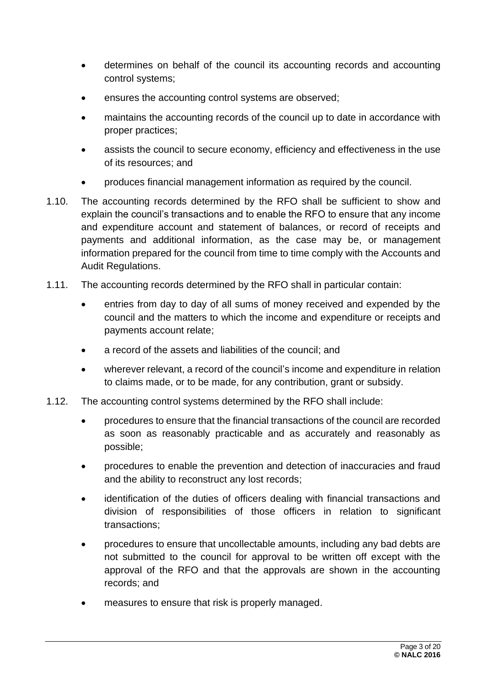- determines on behalf of the council its accounting records and accounting control systems;
- ensures the accounting control systems are observed;
- maintains the accounting records of the council up to date in accordance with proper practices;
- assists the council to secure economy, efficiency and effectiveness in the use of its resources; and
- produces financial management information as required by the council.
- 1.10. The accounting records determined by the RFO shall be sufficient to show and explain the council's transactions and to enable the RFO to ensure that any income and expenditure account and statement of balances, or record of receipts and payments and additional information, as the case may be, or management information prepared for the council from time to time comply with the Accounts and Audit Regulations.
- 1.11. The accounting records determined by the RFO shall in particular contain:
	- entries from day to day of all sums of money received and expended by the council and the matters to which the income and expenditure or receipts and payments account relate;
	- a record of the assets and liabilities of the council; and
	- wherever relevant, a record of the council's income and expenditure in relation to claims made, or to be made, for any contribution, grant or subsidy.
- 1.12. The accounting control systems determined by the RFO shall include:
	- procedures to ensure that the financial transactions of the council are recorded as soon as reasonably practicable and as accurately and reasonably as possible;
	- procedures to enable the prevention and detection of inaccuracies and fraud and the ability to reconstruct any lost records;
	- identification of the duties of officers dealing with financial transactions and division of responsibilities of those officers in relation to significant transactions;
	- procedures to ensure that uncollectable amounts, including any bad debts are not submitted to the council for approval to be written off except with the approval of the RFO and that the approvals are shown in the accounting records; and
	- measures to ensure that risk is properly managed.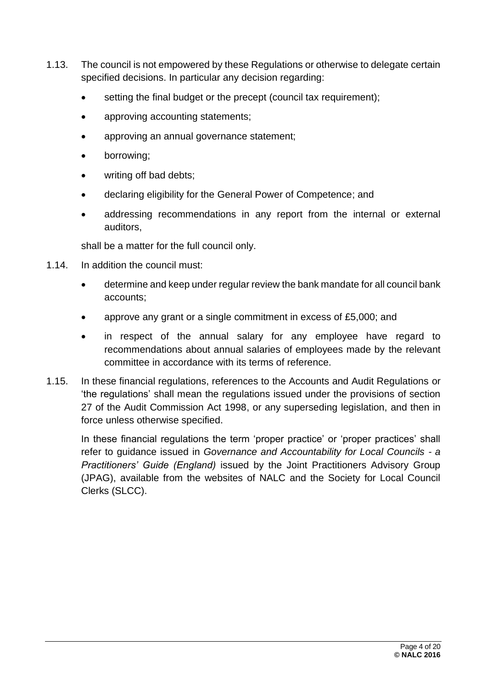- 1.13. The council is not empowered by these Regulations or otherwise to delegate certain specified decisions. In particular any decision regarding:
	- setting the final budget or the precept (council tax requirement);
	- approving accounting statements;
	- approving an annual governance statement;
	- borrowing;
	- writing off bad debts;
	- declaring eligibility for the General Power of Competence; and
	- addressing recommendations in any report from the internal or external auditors,

shall be a matter for the full council only.

- 1.14. In addition the council must:
	- determine and keep under regular review the bank mandate for all council bank accounts;
	- approve any grant or a single commitment in excess of £5,000; and
	- in respect of the annual salary for any employee have regard to recommendations about annual salaries of employees made by the relevant committee in accordance with its terms of reference.
- 1.15. In these financial regulations, references to the Accounts and Audit Regulations or 'the regulations' shall mean the regulations issued under the provisions of section 27 of the Audit Commission Act 1998, or any superseding legislation, and then in force unless otherwise specified.

<span id="page-3-0"></span>In these financial regulations the term 'proper practice' or 'proper practices' shall refer to guidance issued in *Governance and Accountability for Local Councils - a Practitioners' Guide (England)* issued by the Joint Practitioners Advisory Group (JPAG), available from the websites of NALC and the Society for Local Council Clerks (SLCC).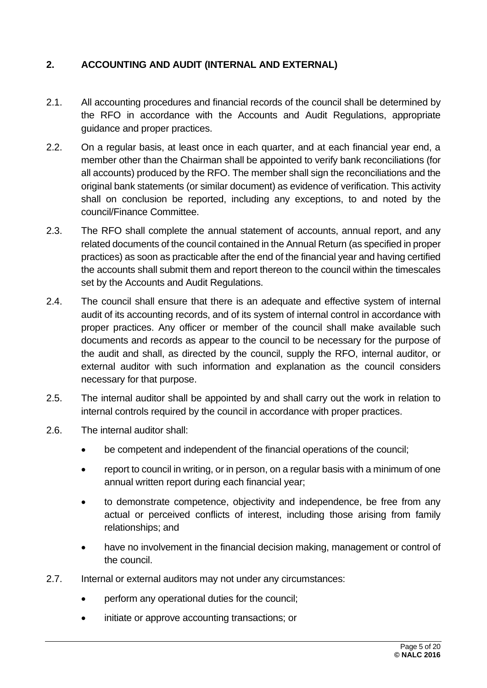# **2. ACCOUNTING AND AUDIT (INTERNAL AND EXTERNAL)**

- 2.1. All accounting procedures and financial records of the council shall be determined by the RFO in accordance with the Accounts and Audit Regulations, appropriate guidance and proper practices.
- 2.2. On a regular basis, at least once in each quarter, and at each financial year end, a member other than the Chairman shall be appointed to verify bank reconciliations (for all accounts) produced by the RFO. The member shall sign the reconciliations and the original bank statements (or similar document) as evidence of verification. This activity shall on conclusion be reported, including any exceptions, to and noted by the council/Finance Committee.
- 2.3. The RFO shall complete the annual statement of accounts, annual report, and any related documents of the council contained in the Annual Return (as specified in proper practices) as soon as practicable after the end of the financial year and having certified the accounts shall submit them and report thereon to the council within the timescales set by the Accounts and Audit Regulations.
- 2.4. The council shall ensure that there is an adequate and effective system of internal audit of its accounting records, and of its system of internal control in accordance with proper practices. Any officer or member of the council shall make available such documents and records as appear to the council to be necessary for the purpose of the audit and shall, as directed by the council, supply the RFO, internal auditor, or external auditor with such information and explanation as the council considers necessary for that purpose.
- 2.5. The internal auditor shall be appointed by and shall carry out the work in relation to internal controls required by the council in accordance with proper practices.
- 2.6. The internal auditor shall:
	- be competent and independent of the financial operations of the council;
	- report to council in writing, or in person, on a regular basis with a minimum of one annual written report during each financial year;
	- to demonstrate competence, objectivity and independence, be free from any actual or perceived conflicts of interest, including those arising from family relationships; and
	- have no involvement in the financial decision making, management or control of the council.
- 2.7. Internal or external auditors may not under any circumstances:
	- perform any operational duties for the council;
	- initiate or approve accounting transactions; or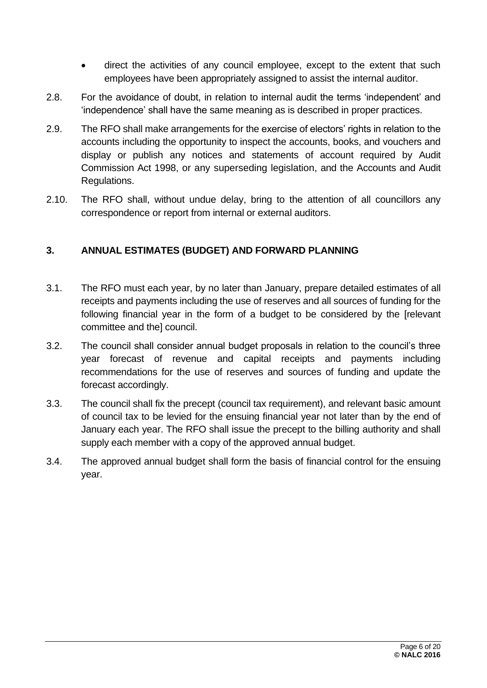- direct the activities of any council employee, except to the extent that such employees have been appropriately assigned to assist the internal auditor.
- 2.8. For the avoidance of doubt, in relation to internal audit the terms 'independent' and 'independence' shall have the same meaning as is described in proper practices.
- 2.9. The RFO shall make arrangements for the exercise of electors' rights in relation to the accounts including the opportunity to inspect the accounts, books, and vouchers and display or publish any notices and statements of account required by Audit Commission Act 1998, or any superseding legislation, and the Accounts and Audit Regulations.
- 2.10. The RFO shall, without undue delay, bring to the attention of all councillors any correspondence or report from internal or external auditors.

#### <span id="page-5-0"></span>**3. ANNUAL ESTIMATES (BUDGET) AND FORWARD PLANNING**

- 3.1. The RFO must each year, by no later than January, prepare detailed estimates of all receipts and payments including the use of reserves and all sources of funding for the following financial year in the form of a budget to be considered by the [relevant committee and thel council.
- 3.2. The council shall consider annual budget proposals in relation to the council's three year forecast of revenue and capital receipts and payments including recommendations for the use of reserves and sources of funding and update the forecast accordingly.
- 3.3. The council shall fix the precept (council tax requirement), and relevant basic amount of council tax to be levied for the ensuing financial year not later than by the end of January each year. The RFO shall issue the precept to the billing authority and shall supply each member with a copy of the approved annual budget.
- <span id="page-5-1"></span>3.4. The approved annual budget shall form the basis of financial control for the ensuing year.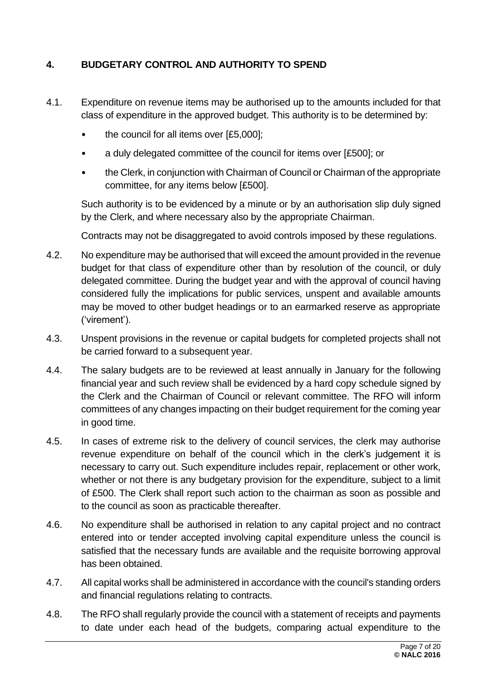# **4. BUDGETARY CONTROL AND AUTHORITY TO SPEND**

- 4.1. Expenditure on revenue items may be authorised up to the amounts included for that class of expenditure in the approved budget. This authority is to be determined by:
	- the council for all items over [£5,000];
	- a duly delegated committee of the council for items over [£500]; or
	- the Clerk, in conjunction with Chairman of Council or Chairman of the appropriate committee, for any items below [£500].

Such authority is to be evidenced by a minute or by an authorisation slip duly signed by the Clerk, and where necessary also by the appropriate Chairman.

Contracts may not be disaggregated to avoid controls imposed by these regulations.

- 4.2. No expenditure may be authorised that will exceed the amount provided in the revenue budget for that class of expenditure other than by resolution of the council, or duly delegated committee. During the budget year and with the approval of council having considered fully the implications for public services, unspent and available amounts may be moved to other budget headings or to an earmarked reserve as appropriate ('virement').
- 4.3. Unspent provisions in the revenue or capital budgets for completed projects shall not be carried forward to a subsequent year.
- 4.4. The salary budgets are to be reviewed at least annually in January for the following financial year and such review shall be evidenced by a hard copy schedule signed by the Clerk and the Chairman of Council or relevant committee. The RFO will inform committees of any changes impacting on their budget requirement for the coming year in good time.
- 4.5. In cases of extreme risk to the delivery of council services, the clerk may authorise revenue expenditure on behalf of the council which in the clerk's judgement it is necessary to carry out. Such expenditure includes repair, replacement or other work, whether or not there is any budgetary provision for the expenditure, subject to a limit of £500. The Clerk shall report such action to the chairman as soon as possible and to the council as soon as practicable thereafter.
- 4.6. No expenditure shall be authorised in relation to any capital project and no contract entered into or tender accepted involving capital expenditure unless the council is satisfied that the necessary funds are available and the requisite borrowing approval has been obtained.
- 4.7. All capital works shall be administered in accordance with the council's standing orders and financial regulations relating to contracts.
- 4.8. The RFO shall regularly provide the council with a statement of receipts and payments to date under each head of the budgets, comparing actual expenditure to the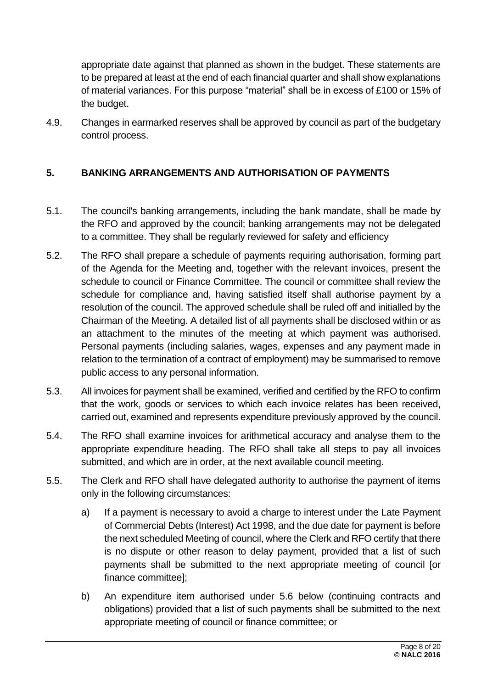appropriate date against that planned as shown in the budget. These statements are to be prepared at least at the end of each financial quarter and shall show explanations of material variances. For this purpose "material" shall be in excess of £100 or 15% of the budget.

4.9. Changes in earmarked reserves shall be approved by council as part of the budgetary control process.

# <span id="page-7-0"></span>**5. BANKING ARRANGEMENTS AND AUTHORISATION OF PAYMENTS**

- 5.1. The council's banking arrangements, including the bank mandate, shall be made by the RFO and approved by the council; banking arrangements may not be delegated to a committee. They shall be regularly reviewed for safety and efficiency
- 5.2. The RFO shall prepare a schedule of payments requiring authorisation, forming part of the Agenda for the Meeting and, together with the relevant invoices, present the schedule to council or Finance Committee. The council or committee shall review the schedule for compliance and, having satisfied itself shall authorise payment by a resolution of the council. The approved schedule shall be ruled off and initialled by the Chairman of the Meeting. A detailed list of all payments shall be disclosed within or as an attachment to the minutes of the meeting at which payment was authorised. Personal payments (including salaries, wages, expenses and any payment made in relation to the termination of a contract of employment) may be summarised to remove public access to any personal information.
- 5.3. All invoices for payment shall be examined, verified and certified by the RFO to confirm that the work, goods or services to which each invoice relates has been received, carried out, examined and represents expenditure previously approved by the council.
- 5.4. The RFO shall examine invoices for arithmetical accuracy and analyse them to the appropriate expenditure heading. The RFO shall take all steps to pay all invoices submitted, and which are in order, at the next available council meeting.
- 5.5. The Clerk and RFO shall have delegated authority to authorise the payment of items only in the following circumstances:
	- a) If a payment is necessary to avoid a charge to interest under the Late Payment of Commercial Debts (Interest) Act 1998, and the due date for payment is before the next scheduled Meeting of council, where the Clerk and RFO certify that there is no dispute or other reason to delay payment, provided that a list of such payments shall be submitted to the next appropriate meeting of council [or finance committee];
	- b) An expenditure item authorised under 5.6 below (continuing contracts and obligations) provided that a list of such payments shall be submitted to the next appropriate meeting of council or finance committee; or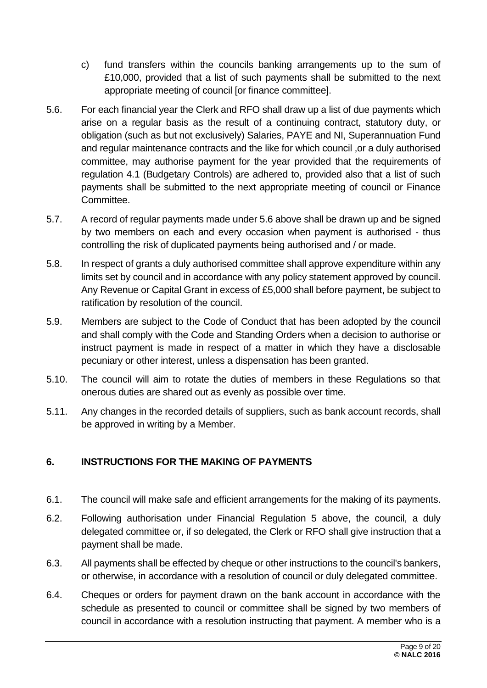- c) fund transfers within the councils banking arrangements up to the sum of £10,000, provided that a list of such payments shall be submitted to the next appropriate meeting of council [or finance committee].
- 5.6. For each financial year the Clerk and RFO shall draw up a list of due payments which arise on a regular basis as the result of a continuing contract, statutory duty, or obligation (such as but not exclusively) Salaries, PAYE and NI, Superannuation Fund and regular maintenance contracts and the like for which council ,or a duly authorised committee, may authorise payment for the year provided that the requirements of regulation 4.1 (Budgetary Controls) are adhered to, provided also that a list of such payments shall be submitted to the next appropriate meeting of council or Finance **Committee.**
- 5.7. A record of regular payments made under 5.6 above shall be drawn up and be signed by two members on each and every occasion when payment is authorised - thus controlling the risk of duplicated payments being authorised and / or made.
- 5.8. In respect of grants a duly authorised committee shall approve expenditure within any limits set by council and in accordance with any policy statement approved by council. Any Revenue or Capital Grant in excess of £5,000 shall before payment, be subject to ratification by resolution of the council.
- 5.9. Members are subject to the Code of Conduct that has been adopted by the council and shall comply with the Code and Standing Orders when a decision to authorise or instruct payment is made in respect of a matter in which they have a disclosable pecuniary or other interest, unless a dispensation has been granted.
- 5.10. The council will aim to rotate the duties of members in these Regulations so that onerous duties are shared out as evenly as possible over time.
- 5.11. Any changes in the recorded details of suppliers, such as bank account records, shall be approved in writing by a Member.

# <span id="page-8-0"></span>**6. INSTRUCTIONS FOR THE MAKING OF PAYMENTS**

- 6.1. The council will make safe and efficient arrangements for the making of its payments.
- 6.2. Following authorisation under Financial Regulation 5 above, the council, a duly delegated committee or, if so delegated, the Clerk or RFO shall give instruction that a payment shall be made.
- 6.3. All payments shall be effected by cheque or other instructions to the council's bankers, or otherwise, in accordance with a resolution of council or duly delegated committee.
- 6.4. Cheques or orders for payment drawn on the bank account in accordance with the schedule as presented to council or committee shall be signed by two members of council in accordance with a resolution instructing that payment. A member who is a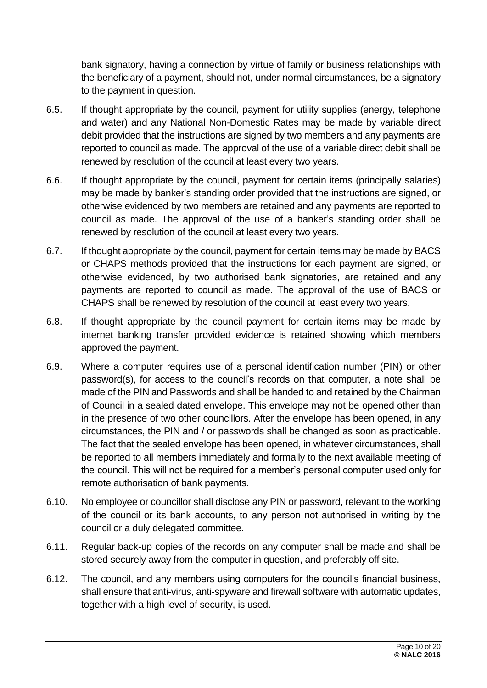bank signatory, having a connection by virtue of family or business relationships with the beneficiary of a payment, should not, under normal circumstances, be a signatory to the payment in question.

- 6.5. If thought appropriate by the council, payment for utility supplies (energy, telephone and water) and any National Non-Domestic Rates may be made by variable direct debit provided that the instructions are signed by two members and any payments are reported to council as made. The approval of the use of a variable direct debit shall be renewed by resolution of the council at least every two years.
- 6.6. If thought appropriate by the council, payment for certain items (principally salaries) may be made by banker's standing order provided that the instructions are signed, or otherwise evidenced by two members are retained and any payments are reported to council as made. The approval of the use of a banker's standing order shall be renewed by resolution of the council at least every two years.
- 6.7. If thought appropriate by the council, payment for certain items may be made by BACS or CHAPS methods provided that the instructions for each payment are signed, or otherwise evidenced, by two authorised bank signatories, are retained and any payments are reported to council as made. The approval of the use of BACS or CHAPS shall be renewed by resolution of the council at least every two years.
- 6.8. If thought appropriate by the council payment for certain items may be made by internet banking transfer provided evidence is retained showing which members approved the payment.
- 6.9. Where a computer requires use of a personal identification number (PIN) or other password(s), for access to the council's records on that computer, a note shall be made of the PIN and Passwords and shall be handed to and retained by the Chairman of Council in a sealed dated envelope. This envelope may not be opened other than in the presence of two other councillors. After the envelope has been opened, in any circumstances, the PIN and / or passwords shall be changed as soon as practicable. The fact that the sealed envelope has been opened, in whatever circumstances, shall be reported to all members immediately and formally to the next available meeting of the council. This will not be required for a member's personal computer used only for remote authorisation of bank payments.
- 6.10. No employee or councillor shall disclose any PIN or password, relevant to the working of the council or its bank accounts, to any person not authorised in writing by the council or a duly delegated committee.
- 6.11. Regular back-up copies of the records on any computer shall be made and shall be stored securely away from the computer in question, and preferably off site.
- 6.12. The council, and any members using computers for the council's financial business, shall ensure that anti-virus, anti-spyware and firewall software with automatic updates, together with a high level of security, is used.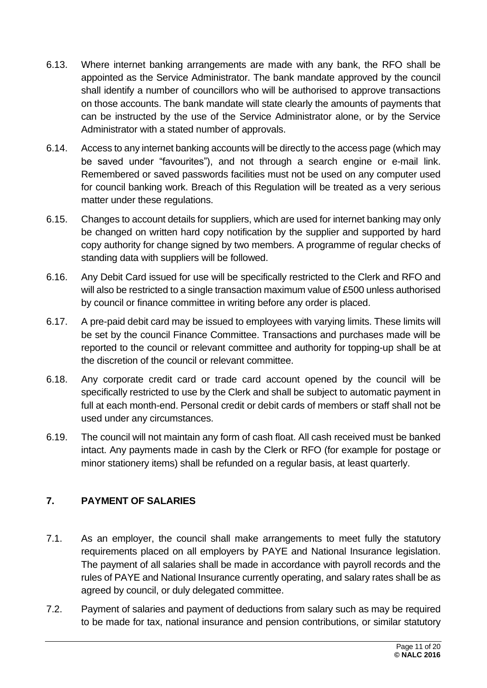- 6.13. Where internet banking arrangements are made with any bank, the RFO shall be appointed as the Service Administrator. The bank mandate approved by the council shall identify a number of councillors who will be authorised to approve transactions on those accounts. The bank mandate will state clearly the amounts of payments that can be instructed by the use of the Service Administrator alone, or by the Service Administrator with a stated number of approvals.
- 6.14. Access to any internet banking accounts will be directly to the access page (which may be saved under "favourites"), and not through a search engine or e-mail link. Remembered or saved passwords facilities must not be used on any computer used for council banking work. Breach of this Regulation will be treated as a very serious matter under these regulations.
- 6.15. Changes to account details for suppliers, which are used for internet banking may only be changed on written hard copy notification by the supplier and supported by hard copy authority for change signed by two members. A programme of regular checks of standing data with suppliers will be followed.
- 6.16. Any Debit Card issued for use will be specifically restricted to the Clerk and RFO and will also be restricted to a single transaction maximum value of £500 unless authorised by council or finance committee in writing before any order is placed.
- 6.17. A pre-paid debit card may be issued to employees with varying limits. These limits will be set by the council Finance Committee. Transactions and purchases made will be reported to the council or relevant committee and authority for topping-up shall be at the discretion of the council or relevant committee.
- 6.18. Any corporate credit card or trade card account opened by the council will be specifically restricted to use by the Clerk and shall be subject to automatic payment in full at each month-end. Personal credit or debit cards of members or staff shall not be used under any circumstances.
- 6.19. The council will not maintain any form of cash float. All cash received must be banked intact. Any payments made in cash by the Clerk or RFO (for example for postage or minor stationery items) shall be refunded on a regular basis, at least quarterly.

### <span id="page-10-0"></span>**7. PAYMENT OF SALARIES**

- 7.1. As an employer, the council shall make arrangements to meet fully the statutory requirements placed on all employers by PAYE and National Insurance legislation. The payment of all salaries shall be made in accordance with payroll records and the rules of PAYE and National Insurance currently operating, and salary rates shall be as agreed by council, or duly delegated committee.
- 7.2. Payment of salaries and payment of deductions from salary such as may be required to be made for tax, national insurance and pension contributions, or similar statutory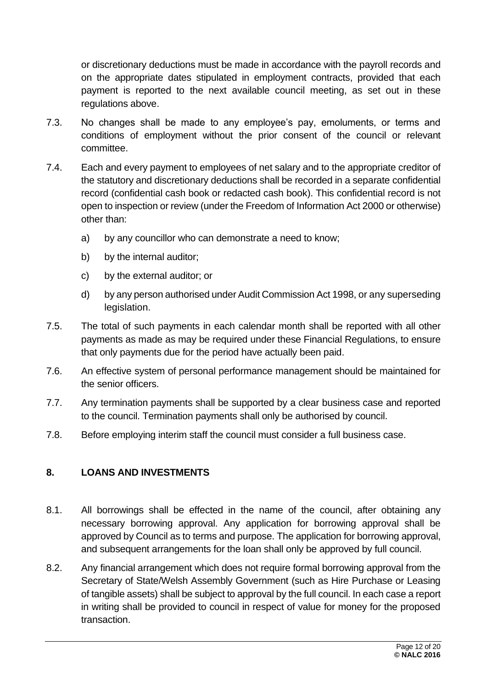or discretionary deductions must be made in accordance with the payroll records and on the appropriate dates stipulated in employment contracts, provided that each payment is reported to the next available council meeting, as set out in these regulations above.

- 7.3. No changes shall be made to any employee's pay, emoluments, or terms and conditions of employment without the prior consent of the council or relevant committee.
- 7.4. Each and every payment to employees of net salary and to the appropriate creditor of the statutory and discretionary deductions shall be recorded in a separate confidential record (confidential cash book or redacted cash book). This confidential record is not open to inspection or review (under the Freedom of Information Act 2000 or otherwise) other than:
	- a) by any councillor who can demonstrate a need to know;
	- b) by the internal auditor;
	- c) by the external auditor; or
	- d) by any person authorised under Audit Commission Act 1998, or any superseding legislation.
- 7.5. The total of such payments in each calendar month shall be reported with all other payments as made as may be required under these Financial Regulations, to ensure that only payments due for the period have actually been paid.
- 7.6. An effective system of personal performance management should be maintained for the senior officers.
- 7.7. Any termination payments shall be supported by a clear business case and reported to the council. Termination payments shall only be authorised by council.
- 7.8. Before employing interim staff the council must consider a full business case.

# <span id="page-11-0"></span>**8. LOANS AND INVESTMENTS**

- 8.1. All borrowings shall be effected in the name of the council, after obtaining any necessary borrowing approval. Any application for borrowing approval shall be approved by Council as to terms and purpose. The application for borrowing approval, and subsequent arrangements for the loan shall only be approved by full council.
- 8.2. Any financial arrangement which does not require formal borrowing approval from the Secretary of State/Welsh Assembly Government (such as Hire Purchase or Leasing of tangible assets) shall be subject to approval by the full council. In each case a report in writing shall be provided to council in respect of value for money for the proposed transaction.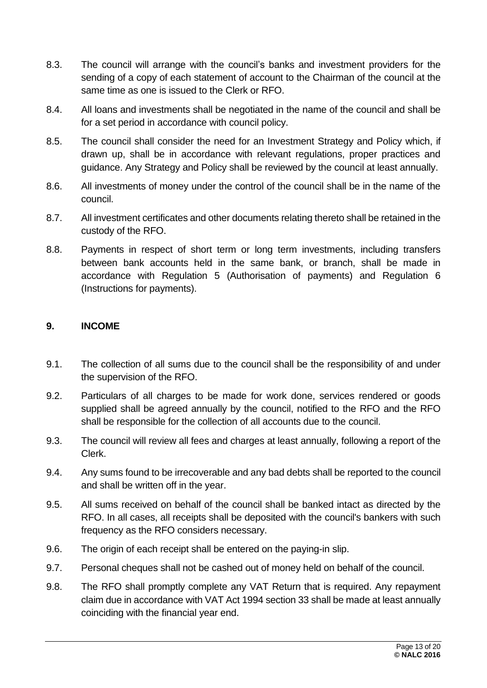- 8.3. The council will arrange with the council's banks and investment providers for the sending of a copy of each statement of account to the Chairman of the council at the same time as one is issued to the Clerk or RFO.
- 8.4. All loans and investments shall be negotiated in the name of the council and shall be for a set period in accordance with council policy.
- 8.5. The council shall consider the need for an Investment Strategy and Policy which, if drawn up, shall be in accordance with relevant regulations, proper practices and guidance. Any Strategy and Policy shall be reviewed by the council at least annually.
- 8.6. All investments of money under the control of the council shall be in the name of the council.
- 8.7. All investment certificates and other documents relating thereto shall be retained in the custody of the RFO.
- 8.8. Payments in respect of short term or long term investments, including transfers between bank accounts held in the same bank, or branch, shall be made in accordance with Regulation 5 (Authorisation of payments) and Regulation 6 (Instructions for payments).

#### <span id="page-12-0"></span>**9. INCOME**

- 9.1. The collection of all sums due to the council shall be the responsibility of and under the supervision of the RFO.
- 9.2. Particulars of all charges to be made for work done, services rendered or goods supplied shall be agreed annually by the council, notified to the RFO and the RFO shall be responsible for the collection of all accounts due to the council.
- 9.3. The council will review all fees and charges at least annually, following a report of the Clerk.
- 9.4. Any sums found to be irrecoverable and any bad debts shall be reported to the council and shall be written off in the year.
- 9.5. All sums received on behalf of the council shall be banked intact as directed by the RFO. In all cases, all receipts shall be deposited with the council's bankers with such frequency as the RFO considers necessary.
- 9.6. The origin of each receipt shall be entered on the paying-in slip.
- 9.7. Personal cheques shall not be cashed out of money held on behalf of the council.
- 9.8. The RFO shall promptly complete any VAT Return that is required. Any repayment claim due in accordance with VAT Act 1994 section 33 shall be made at least annually coinciding with the financial year end.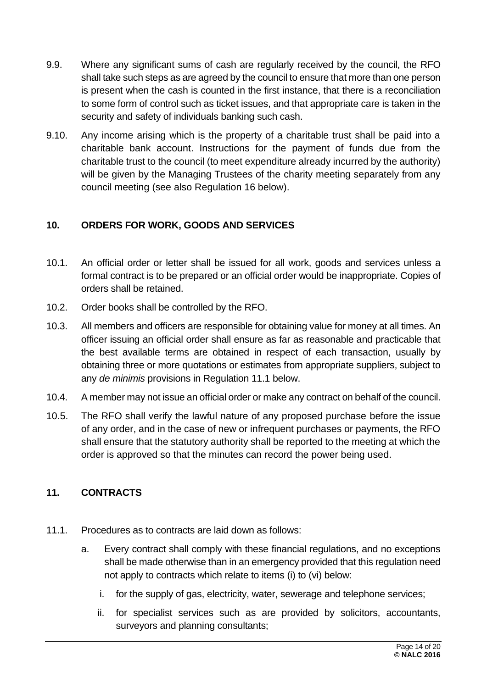- 9.9. Where any significant sums of cash are regularly received by the council, the RFO shall take such steps as are agreed by the council to ensure that more than one person is present when the cash is counted in the first instance, that there is a reconciliation to some form of control such as ticket issues, and that appropriate care is taken in the security and safety of individuals banking such cash.
- 9.10. Any income arising which is the property of a charitable trust shall be paid into a charitable bank account. Instructions for the payment of funds due from the charitable trust to the council (to meet expenditure already incurred by the authority) will be given by the Managing Trustees of the charity meeting separately from any council meeting (see also Regulation 16 below).

### <span id="page-13-0"></span>**10. ORDERS FOR WORK, GOODS AND SERVICES**

- 10.1. An official order or letter shall be issued for all work, goods and services unless a formal contract is to be prepared or an official order would be inappropriate. Copies of orders shall be retained.
- 10.2. Order books shall be controlled by the RFO.
- 10.3. All members and officers are responsible for obtaining value for money at all times. An officer issuing an official order shall ensure as far as reasonable and practicable that the best available terms are obtained in respect of each transaction, usually by obtaining three or more quotations or estimates from appropriate suppliers, subject to any *de minimis* provisions in Regulation 11.1 below.
- 10.4. A member may not issue an official order or make any contract on behalf of the council.
- 10.5. The RFO shall verify the lawful nature of any proposed purchase before the issue of any order, and in the case of new or infrequent purchases or payments, the RFO shall ensure that the statutory authority shall be reported to the meeting at which the order is approved so that the minutes can record the power being used.

### <span id="page-13-1"></span>**11. CONTRACTS**

- 11.1. Procedures as to contracts are laid down as follows:
	- a. Every contract shall comply with these financial regulations, and no exceptions shall be made otherwise than in an emergency provided that this regulation need not apply to contracts which relate to items (i) to (vi) below:
		- i. for the supply of gas, electricity, water, sewerage and telephone services;
		- ii. for specialist services such as are provided by solicitors, accountants, surveyors and planning consultants;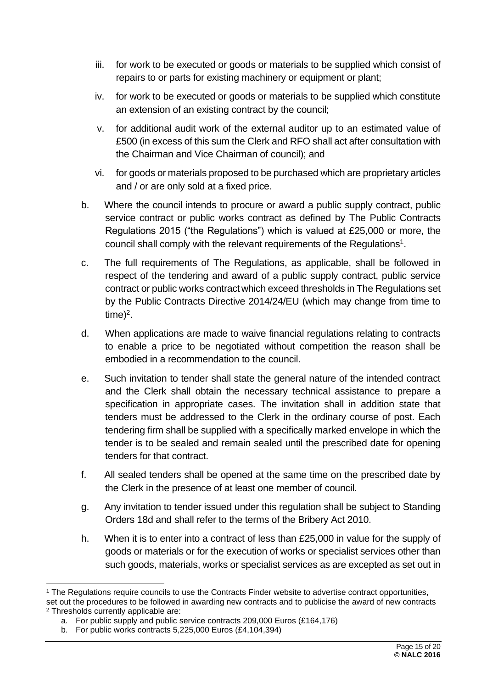- iii. for work to be executed or goods or materials to be supplied which consist of repairs to or parts for existing machinery or equipment or plant;
- iv. for work to be executed or goods or materials to be supplied which constitute an extension of an existing contract by the council;
- v. for additional audit work of the external auditor up to an estimated value of £500 (in excess of this sum the Clerk and RFO shall act after consultation with the Chairman and Vice Chairman of council); and
- vi. for goods or materials proposed to be purchased which are proprietary articles and / or are only sold at a fixed price.
- b. Where the council intends to procure or award a public supply contract, public service contract or public works contract as defined by The Public Contracts Regulations 2015 ("the Regulations") which is valued at £25,000 or more, the council shall comply with the relevant requirements of the Regulations<sup>1</sup>.
- c. The full requirements of The Regulations, as applicable, shall be followed in respect of the tendering and award of a public supply contract, public service contract or public works contractwhich exceed thresholds in The Regulations set by the Public Contracts Directive 2014/24/EU (which may change from time to time)<sup>2</sup>.
- d. When applications are made to waive financial regulations relating to contracts to enable a price to be negotiated without competition the reason shall be embodied in a recommendation to the council.
- e. Such invitation to tender shall state the general nature of the intended contract and the Clerk shall obtain the necessary technical assistance to prepare a specification in appropriate cases. The invitation shall in addition state that tenders must be addressed to the Clerk in the ordinary course of post. Each tendering firm shall be supplied with a specifically marked envelope in which the tender is to be sealed and remain sealed until the prescribed date for opening tenders for that contract.
- f. All sealed tenders shall be opened at the same time on the prescribed date by the Clerk in the presence of at least one member of council.
- g. Any invitation to tender issued under this regulation shall be subject to Standing Orders 18d and shall refer to the terms of the Bribery Act 2010.
- h. When it is to enter into a contract of less than £25,000 in value for the supply of goods or materials or for the execution of works or specialist services other than such goods, materials, works or specialist services as are excepted as set out in

<sup>1</sup> The Regulations require councils to use the Contracts Finder website to advertise contract opportunities,

set out the procedures to be followed in awarding new contracts and to publicise the award of new contracts <sup>2</sup> Thresholds currently applicable are:

a. For public supply and public service contracts 209,000 Euros (£164,176)

b. For public works contracts 5,225,000 Euros (£4,104,394)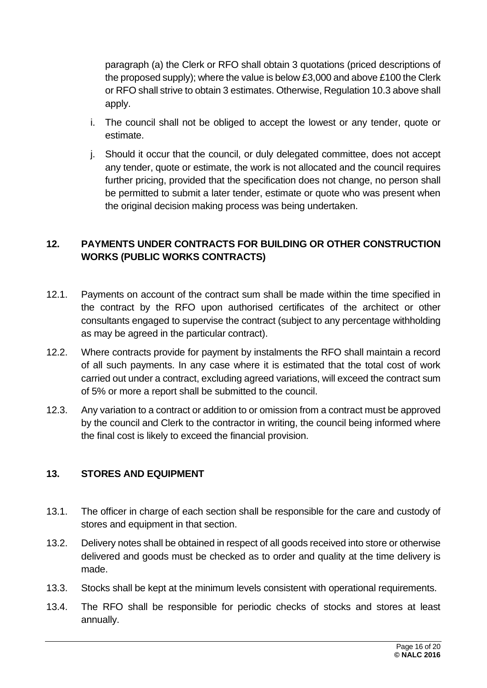paragraph (a) the Clerk or RFO shall obtain 3 quotations (priced descriptions of the proposed supply); where the value is below £3,000 and above £100 the Clerk or RFO shall strive to obtain 3 estimates. Otherwise, Regulation 10.3 above shall apply.

- i. The council shall not be obliged to accept the lowest or any tender, quote or estimate.
- j. Should it occur that the council, or duly delegated committee, does not accept any tender, quote or estimate, the work is not allocated and the council requires further pricing, provided that the specification does not change, no person shall be permitted to submit a later tender, estimate or quote who was present when the original decision making process was being undertaken.

### <span id="page-15-0"></span>**12. PAYMENTS UNDER CONTRACTS FOR BUILDING OR OTHER CONSTRUCTION WORKS (PUBLIC WORKS CONTRACTS)**

- 12.1. Payments on account of the contract sum shall be made within the time specified in the contract by the RFO upon authorised certificates of the architect or other consultants engaged to supervise the contract (subject to any percentage withholding as may be agreed in the particular contract).
- 12.2. Where contracts provide for payment by instalments the RFO shall maintain a record of all such payments. In any case where it is estimated that the total cost of work carried out under a contract, excluding agreed variations, will exceed the contract sum of 5% or more a report shall be submitted to the council.
- 12.3. Any variation to a contract or addition to or omission from a contract must be approved by the council and Clerk to the contractor in writing, the council being informed where the final cost is likely to exceed the financial provision.

### <span id="page-15-1"></span>**13. STORES AND EQUIPMENT**

- 13.1. The officer in charge of each section shall be responsible for the care and custody of stores and equipment in that section.
- 13.2. Delivery notes shall be obtained in respect of all goods received into store or otherwise delivered and goods must be checked as to order and quality at the time delivery is made.
- 13.3. Stocks shall be kept at the minimum levels consistent with operational requirements.
- 13.4. The RFO shall be responsible for periodic checks of stocks and stores at least annually.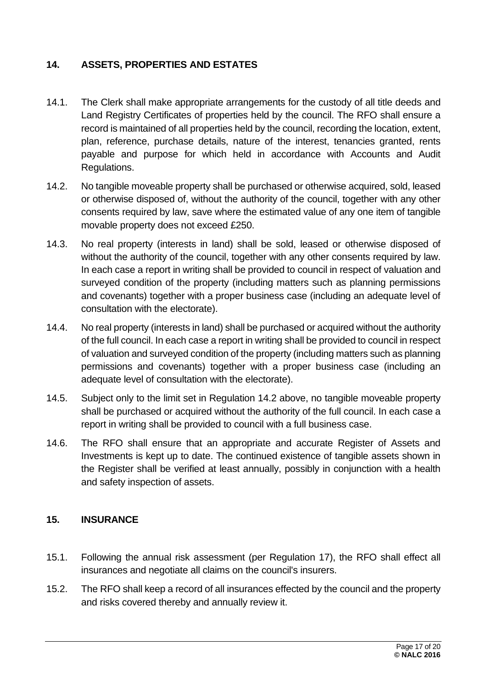### <span id="page-16-0"></span>**14. ASSETS, PROPERTIES AND ESTATES**

- 14.1. The Clerk shall make appropriate arrangements for the custody of all title deeds and Land Registry Certificates of properties held by the council. The RFO shall ensure a record is maintained of all properties held by the council, recording the location, extent, plan, reference, purchase details, nature of the interest, tenancies granted, rents payable and purpose for which held in accordance with Accounts and Audit Regulations.
- 14.2. No tangible moveable property shall be purchased or otherwise acquired, sold, leased or otherwise disposed of, without the authority of the council, together with any other consents required by law, save where the estimated value of any one item of tangible movable property does not exceed £250.
- 14.3. No real property (interests in land) shall be sold, leased or otherwise disposed of without the authority of the council, together with any other consents required by law. In each case a report in writing shall be provided to council in respect of valuation and surveyed condition of the property (including matters such as planning permissions and covenants) together with a proper business case (including an adequate level of consultation with the electorate).
- 14.4. No real property (interests in land) shall be purchased or acquired without the authority of the full council. In each case a report in writing shall be provided to council in respect of valuation and surveyed condition of the property (including matters such as planning permissions and covenants) together with a proper business case (including an adequate level of consultation with the electorate).
- 14.5. Subject only to the limit set in Regulation 14.2 above, no tangible moveable property shall be purchased or acquired without the authority of the full council. In each case a report in writing shall be provided to council with a full business case.
- 14.6. The RFO shall ensure that an appropriate and accurate Register of Assets and Investments is kept up to date. The continued existence of tangible assets shown in the Register shall be verified at least annually, possibly in conjunction with a health and safety inspection of assets.

#### <span id="page-16-1"></span>**15. INSURANCE**

- 15.1. Following the annual risk assessment (per Regulation 17), the RFO shall effect all insurances and negotiate all claims on the council's insurers.
- 15.2. The RFO shall keep a record of all insurances effected by the council and the property and risks covered thereby and annually review it.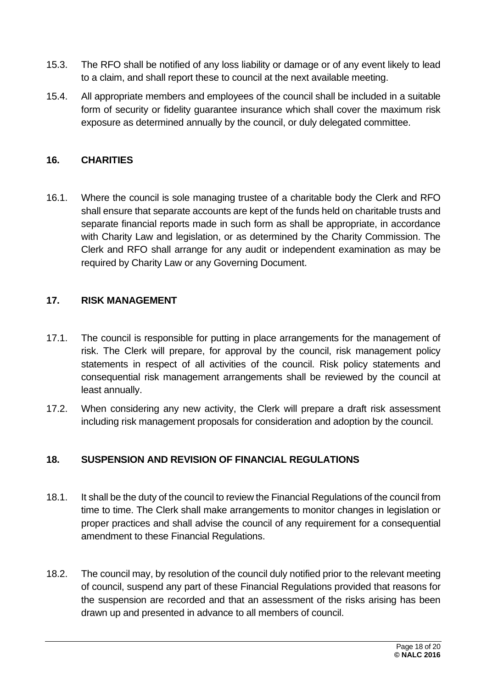- 15.3. The RFO shall be notified of any loss liability or damage or of any event likely to lead to a claim, and shall report these to council at the next available meeting.
- 15.4. All appropriate members and employees of the council shall be included in a suitable form of security or fidelity guarantee insurance which shall cover the maximum risk exposure as determined annually by the council, or duly delegated committee.

### <span id="page-17-0"></span>**16. CHARITIES**

16.1. Where the council is sole managing trustee of a charitable body the Clerk and RFO shall ensure that separate accounts are kept of the funds held on charitable trusts and separate financial reports made in such form as shall be appropriate, in accordance with Charity Law and legislation, or as determined by the Charity Commission. The Clerk and RFO shall arrange for any audit or independent examination as may be required by Charity Law or any Governing Document.

#### <span id="page-17-1"></span>**17. RISK MANAGEMENT**

- 17.1. The council is responsible for putting in place arrangements for the management of risk. The Clerk will prepare, for approval by the council, risk management policy statements in respect of all activities of the council. Risk policy statements and consequential risk management arrangements shall be reviewed by the council at least annually.
- 17.2. When considering any new activity, the Clerk will prepare a draft risk assessment including risk management proposals for consideration and adoption by the council.

#### <span id="page-17-2"></span>**18. SUSPENSION AND REVISION OF FINANCIAL REGULATIONS**

- 18.1. It shall be the duty of the council to review the Financial Regulations of the council from time to time. The Clerk shall make arrangements to monitor changes in legislation or proper practices and shall advise the council of any requirement for a consequential amendment to these Financial Regulations.
- 18.2. The council may, by resolution of the council duly notified prior to the relevant meeting of council, suspend any part of these Financial Regulations provided that reasons for the suspension are recorded and that an assessment of the risks arising has been drawn up and presented in advance to all members of council.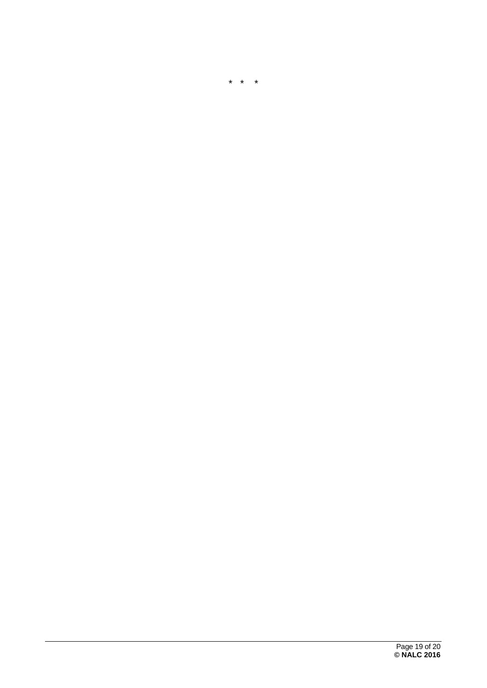Page 19 of 20 **© NALC 2016**

\* \* \*